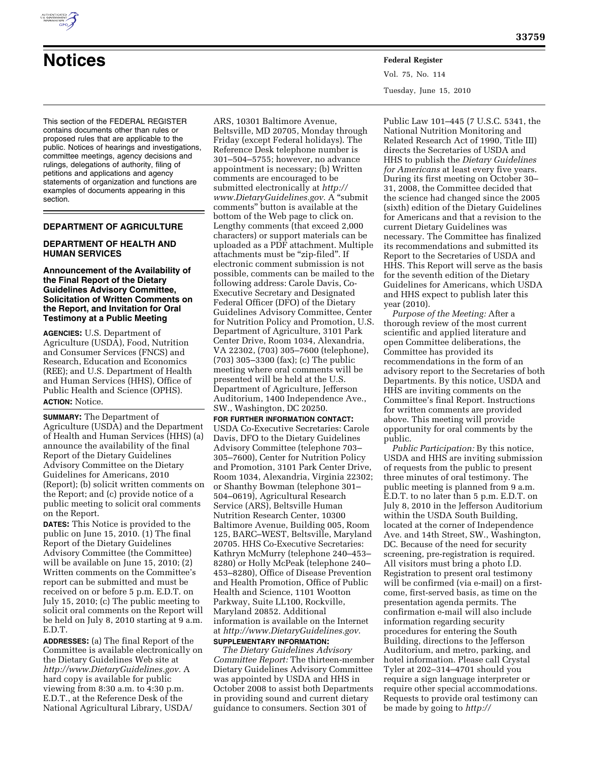

# **Notices Federal Register**

This section of the FEDERAL REGISTER contains documents other than rules or proposed rules that are applicable to the public. Notices of hearings and investigations, committee meetings, agency decisions and rulings, delegations of authority, filing of petitions and applications and agency statements of organization and functions are examples of documents appearing in this section.

# **DEPARTMENT OF AGRICULTURE**

# **DEPARTMENT OF HEALTH AND HUMAN SERVICES**

#### **Announcement of the Availability of the Final Report of the Dietary Guidelines Advisory Committee, Solicitation of Written Comments on the Report, and Invitation for Oral Testimony at a Public Meeting**

**AGENCIES:** U.S. Department of Agriculture (USDA), Food, Nutrition and Consumer Services (FNCS) and Research, Education and Economics (REE); and U.S. Department of Health and Human Services (HHS), Office of Public Health and Science (OPHS). **ACTION:** Notice.

**SUMMARY:** The Department of Agriculture (USDA) and the Department of Health and Human Services (HHS) (a) announce the availability of the final Report of the Dietary Guidelines Advisory Committee on the Dietary Guidelines for Americans, 2010 (Report); (b) solicit written comments on the Report; and (c) provide notice of a public meeting to solicit oral comments on the Report.

**DATES:** This Notice is provided to the public on June 15, 2010.  $(1)$  The final Report of the Dietary Guidelines Advisory Committee (the Committee) will be available on June 15, 2010; (2) Written comments on the Committee's report can be submitted and must be received on or before 5 p.m. E.D.T. on July 15, 2010; (c) The public meeting to solicit oral comments on the Report will be held on July 8, 2010 starting at 9 a.m. E.D.T.

**ADDRESSES:** (a) The final Report of the Committee is available electronically on the Dietary Guidelines Web site at *http://www.DietaryGuidelines.gov.* A hard copy is available for public viewing from 8:30 a.m. to 4:30 p.m. E.D.T., at the Reference Desk of the National Agricultural Library, USDA/

ARS, 10301 Baltimore Avenue, Beltsville, MD 20705, Monday through Friday (except Federal holidays). The Reference Desk telephone number is 301–504–5755; however, no advance appointment is necessary; (b) Written comments are encouraged to be submitted electronically at *http:// www.DietaryGuidelines.gov.* A ''submit comments'' button is available at the bottom of the Web page to click on. Lengthy comments (that exceed 2,000 characters) or support materials can be uploaded as a PDF attachment. Multiple attachments must be "zip-filed". If electronic comment submission is not possible, comments can be mailed to the following address: Carole Davis, Co-Executive Secretary and Designated Federal Officer (DFO) of the Dietary Guidelines Advisory Committee, Center for Nutrition Policy and Promotion, U.S. Department of Agriculture, 3101 Park Center Drive, Room 1034, Alexandria, VA 22302, (703) 305–7600 (telephone), (703) 305–3300 (fax); (c) The public meeting where oral comments will be presented will be held at the U.S. Department of Agriculture, Jefferson Auditorium, 1400 Independence Ave., SW., Washington, DC 20250.

**FOR FURTHER INFORMATION CONTACT:**  USDA Co-Executive Secretaries: Carole Davis, DFO to the Dietary Guidelines Advisory Committee (telephone 703– 305–7600), Center for Nutrition Policy and Promotion, 3101 Park Center Drive, Room 1034, Alexandria, Virginia 22302; or Shanthy Bowman (telephone 301– 504–0619), Agricultural Research Service (ARS), Beltsville Human Nutrition Research Center, 10300 Baltimore Avenue, Building 005, Room 125, BARC–WEST, Beltsville, Maryland 20705. HHS Co-Executive Secretaries: Kathryn McMurry (telephone 240–453– 8280) or Holly McPeak (telephone 240– 453–8280), Office of Disease Prevention and Health Promotion, Office of Public Health and Science, 1101 Wootton Parkway, Suite LL100, Rockville, Maryland 20852. Additional information is available on the Internet at *http://www.DietaryGuidelines.gov.*  **SUPPLEMENTARY INFORMATION:** 

*The Dietary Guidelines Advisory Committee Report:* The thirteen-member Dietary Guidelines Advisory Committee was appointed by USDA and HHS in October 2008 to assist both Departments in providing sound and current dietary guidance to consumers. Section 301 of

Vol. 75, No. 114 Tuesday, June 15, 2010

Public Law 101–445 (7 U.S.C. 5341, the National Nutrition Monitoring and Related Research Act of 1990, Title III) directs the Secretaries of USDA and HHS to publish the *Dietary Guidelines for Americans* at least every five years. During its first meeting on October 30– 31, 2008, the Committee decided that the science had changed since the 2005 (sixth) edition of the Dietary Guidelines for Americans and that a revision to the current Dietary Guidelines was necessary. The Committee has finalized its recommendations and submitted its Report to the Secretaries of USDA and HHS. This Report will serve as the basis for the seventh edition of the Dietary Guidelines for Americans, which USDA and HHS expect to publish later this year (2010).

*Purpose of the Meeting:* After a thorough review of the most current scientific and applied literature and open Committee deliberations, the Committee has provided its recommendations in the form of an advisory report to the Secretaries of both Departments. By this notice, USDA and HHS are inviting comments on the Committee's final Report. Instructions for written comments are provided above. This meeting will provide opportunity for oral comments by the public.

*Public Participation:* By this notice, USDA and HHS are inviting submission of requests from the public to present three minutes of oral testimony. The public meeting is planned from 9 a.m. E.D.T. to no later than 5 p.m. E.D.T. on July 8, 2010 in the Jefferson Auditorium within the USDA South Building, located at the corner of Independence Ave. and 14th Street, SW., Washington, DC. Because of the need for security screening, pre-registration is required. All visitors must bring a photo I.D. Registration to present oral testimony will be confirmed (via e-mail) on a firstcome, first-served basis, as time on the presentation agenda permits. The confirmation e-mail will also include information regarding security procedures for entering the South Building, directions to the Jefferson Auditorium, and metro, parking, and hotel information. Please call Crystal Tyler at 202–314–4701 should you require a sign language interpreter or require other special accommodations. Requests to provide oral testimony can be made by going to *http://*